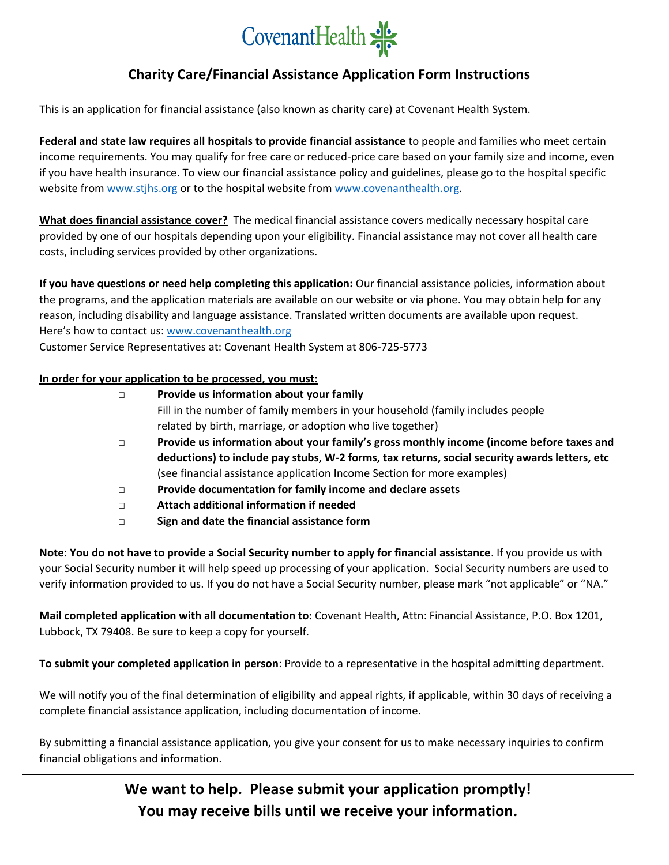

# **Charity Care/Financial Assistance Application Form Instructions**

This is an application for financial assistance (also known as charity care) at Covenant Health System.

**Federal and state law requires all hospitals to provide financial assistance** to people and families who meet certain income requirements. You may qualify for free care or reduced-price care based on your family size and income, even if you have health insurance. To view our financial assistance policy and guidelines, please go to the hospital specific website from [www.stjhs.org](http://www.stjhs.org/) or to the hospital website from [www.covenanthealth.org.](http://www.covenanthealth.org/)

**What does financial assistance cover?** The medical financial assistance covers medically necessary hospital care provided by one of our hospitals depending upon your eligibility. Financial assistance may not cover all health care costs, including services provided by other organizations.

**If you have questions or need help completing this application:** Our financial assistance policies, information about the programs, and the application materials are available on our website or via phone. You may obtain help for any reason, including disability and language assistance. Translated written documents are available upon request. Here's how to contact us: [www.covenanthealth.org](http://www.covenanthealth.org/) Customer Service Representatives at: Covenant Health System at 806-725-5773

### **In order for your application to be processed, you must:**

| $\Box$ | Provide us information about your family                                                      |
|--------|-----------------------------------------------------------------------------------------------|
|        | Fill in the number of family members in your household (family includes people                |
|        | related by birth, marriage, or adoption who live together)                                    |
| $\Box$ | Provide us information about your family's gross monthly income (income before taxes and      |
|        | deductions) to include pay stubs, W-2 forms, tax returns, social security awards letters, etc |
|        | (see financial assistance application Income Section for more examples)                       |
| $\Box$ | Provide documentation for family income and declare assets                                    |
| $\Box$ | Attach additional information if needed                                                       |
| $\Box$ | Sign and date the financial assistance form                                                   |
|        |                                                                                               |

**Note**: **You do not have to provide a Social Security number to apply for financial assistance**. If you provide us with your Social Security number it will help speed up processing of your application. Social Security numbers are used to verify information provided to us. If you do not have a Social Security number, please mark "not applicable" or "NA."

**Mail completed application with all documentation to:** Covenant Health, Attn: Financial Assistance, P.O. Box 1201, Lubbock, TX 79408. Be sure to keep a copy for yourself.

**To submit your completed application in person**: Provide to a representative in the hospital admitting department.

We will notify you of the final determination of eligibility and appeal rights, if applicable, within 30 days of receiving a complete financial assistance application, including documentation of income.

By submitting a financial assistance application, you give your consent for us to make necessary inquiries to confirm financial obligations and information.

> **We want to help. Please submit your application promptly! You may receive bills until we receive your information.**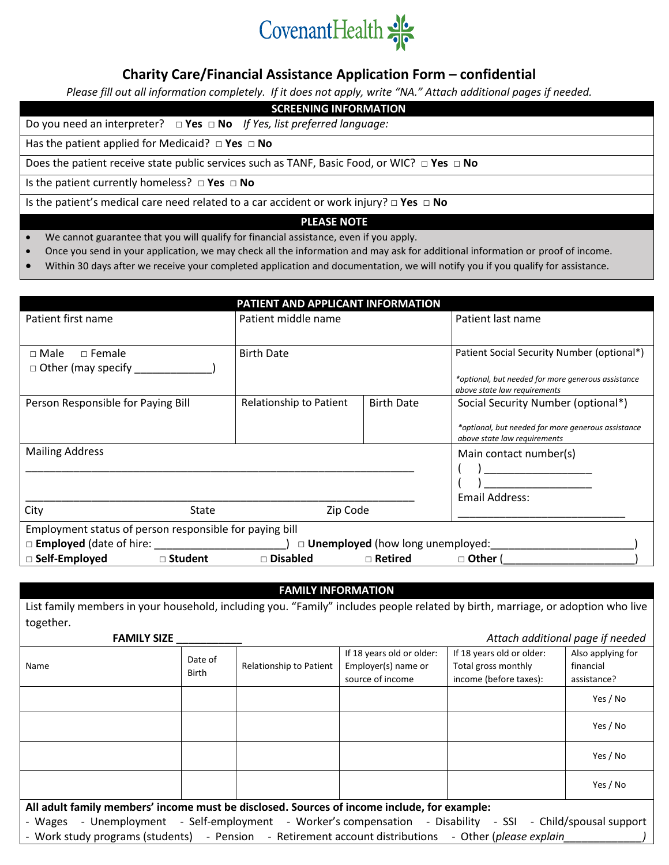

## **Charity Care/Financial Assistance Application Form – confidential**

*Please fill out all information completely. If it does not apply, write "NA." Attach additional pages if needed.*

#### **SCREENING INFORMATION**

Do you need an interpreter? **□ Yes □ No** *If Yes, list preferred language:*

Has the patient applied for Medicaid? **□ Yes □ No**

Does the patient receive state public services such as TANF, Basic Food, or WIC? **□ Yes □ No**

Is the patient currently homeless? **□ Yes □ No**

Is the patient's medical care need related to a car accident or work injury? **□ Yes □ No**

### **PLEASE NOTE**

- We cannot guarantee that you will qualify for financial assistance, even if you apply.
- Once you send in your application, we may check all the information and may ask for additional information or proof of income.
- Within 30 days after we receive your completed application and documentation, we will notify you if you qualify for assistance.

| PATIENT AND APPLICANT INFORMATION                       |                         |                                         |                                                                                    |  |  |  |
|---------------------------------------------------------|-------------------------|-----------------------------------------|------------------------------------------------------------------------------------|--|--|--|
| Patient first name                                      | Patient middle name     |                                         | Patient last name                                                                  |  |  |  |
|                                                         |                         |                                         |                                                                                    |  |  |  |
| $\Box$ Female<br>$\Box$ Male                            | <b>Birth Date</b>       |                                         | Patient Social Security Number (optional*)                                         |  |  |  |
| $\Box$ Other (may specify                               |                         |                                         | *optional, but needed for more generous assistance<br>above state law requirements |  |  |  |
| Person Responsible for Paying Bill                      | Relationship to Patient | <b>Birth Date</b>                       | Social Security Number (optional*)                                                 |  |  |  |
|                                                         |                         |                                         | *optional, but needed for more generous assistance<br>above state law requirements |  |  |  |
| <b>Mailing Address</b>                                  |                         |                                         | Main contact number(s)                                                             |  |  |  |
|                                                         |                         |                                         |                                                                                    |  |  |  |
|                                                         |                         |                                         | Email Address:                                                                     |  |  |  |
| City<br>State                                           | Zip Code                |                                         |                                                                                    |  |  |  |
| Employment status of person responsible for paying bill |                         |                                         |                                                                                    |  |  |  |
| $\square$ Employed (date of hire: $\angle$              |                         | $\Box$ Unemployed (how long unemployed: |                                                                                    |  |  |  |
| □ Self-Employed<br>□ Student                            | □ Disabled              | $\Box$ Retired                          | $\Box$ Other (                                                                     |  |  |  |

### **FAMILY INFORMATION**

List family members in your household, including you. "Family" includes people related by birth, marriage, or adoption who live together.

 **FAMILY SIZE \_\_\_\_\_\_\_\_\_\_\_** *Attach additional page if needed*

| <b>FAIVILLI JILL</b>                                                                                                                                                                                                    |                         |                         |                                                                      |                                                                            | Attuch guartional page if heeged              |
|-------------------------------------------------------------------------------------------------------------------------------------------------------------------------------------------------------------------------|-------------------------|-------------------------|----------------------------------------------------------------------|----------------------------------------------------------------------------|-----------------------------------------------|
| Name                                                                                                                                                                                                                    | Date of<br><b>Birth</b> | Relationship to Patient | If 18 years old or older:<br>Employer(s) name or<br>source of income | If 18 years old or older:<br>Total gross monthly<br>income (before taxes): | Also applying for<br>financial<br>assistance? |
|                                                                                                                                                                                                                         |                         |                         |                                                                      |                                                                            | Yes / No                                      |
|                                                                                                                                                                                                                         |                         |                         |                                                                      |                                                                            | Yes / No                                      |
|                                                                                                                                                                                                                         |                         |                         |                                                                      |                                                                            | Yes / No                                      |
|                                                                                                                                                                                                                         |                         |                         |                                                                      |                                                                            | Yes / No                                      |
| All adult family members' income must be disclosed. Sources of income include, for example:                                                                                                                             |                         |                         |                                                                      |                                                                            |                                               |
| - Unemployment - Self-employment - Worker's compensation - Disability - SSI - Child/spousal support<br>- Wages<br>- Work study programs (students) - Pension - Retirement account distributions - Other (please explain |                         |                         |                                                                      |                                                                            |                                               |